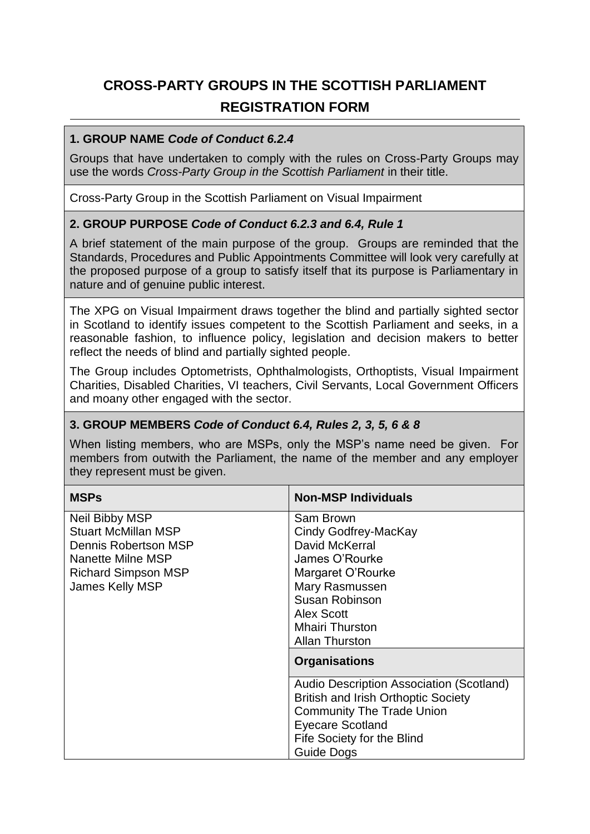# **CROSS-PARTY GROUPS IN THE SCOTTISH PARLIAMENT REGISTRATION FORM**

### **1. GROUP NAME** *Code of Conduct 6.2.4*

Groups that have undertaken to comply with the rules on Cross-Party Groups may use the words *Cross-Party Group in the Scottish Parliament* in their title.

Cross-Party Group in the Scottish Parliament on Visual Impairment

## **2. GROUP PURPOSE** *Code of Conduct 6.2.3 and 6.4, Rule 1*

A brief statement of the main purpose of the group. Groups are reminded that the Standards, Procedures and Public Appointments Committee will look very carefully at the proposed purpose of a group to satisfy itself that its purpose is Parliamentary in nature and of genuine public interest.

The XPG on Visual Impairment draws together the blind and partially sighted sector in Scotland to identify issues competent to the Scottish Parliament and seeks, in a reasonable fashion, to influence policy, legislation and decision makers to better reflect the needs of blind and partially sighted people.

The Group includes Optometrists, Ophthalmologists, Orthoptists, Visual Impairment Charities, Disabled Charities, VI teachers, Civil Servants, Local Government Officers and moany other engaged with the sector.

#### **3. GROUP MEMBERS** *Code of Conduct 6.4, Rules 2, 3, 5, 6 & 8*

When listing members, who are MSPs, only the MSP's name need be given. For members from outwith the Parliament, the name of the member and any employer they represent must be given.

| <b>MSPs</b>                | <b>Non-MSP Individuals</b>                 |
|----------------------------|--------------------------------------------|
| Neil Bibby MSP             | Sam Brown                                  |
| <b>Stuart McMillan MSP</b> | Cindy Godfrey-MacKay                       |
| Dennis Robertson MSP       | David McKerral                             |
| Nanette Milne MSP          | James O'Rourke                             |
| Richard Simpson MSP        | Margaret O'Rourke                          |
| James Kelly MSP            | Mary Rasmussen                             |
|                            | Susan Robinson                             |
|                            | <b>Alex Scott</b>                          |
|                            | <b>Mhairi Thurston</b>                     |
|                            | <b>Allan Thurston</b>                      |
|                            | <b>Organisations</b>                       |
|                            | Audio Description Association (Scotland)   |
|                            | <b>British and Irish Orthoptic Society</b> |
|                            | <b>Community The Trade Union</b>           |
|                            | <b>Eyecare Scotland</b>                    |
|                            | Fife Society for the Blind                 |
|                            | Guide Dogs                                 |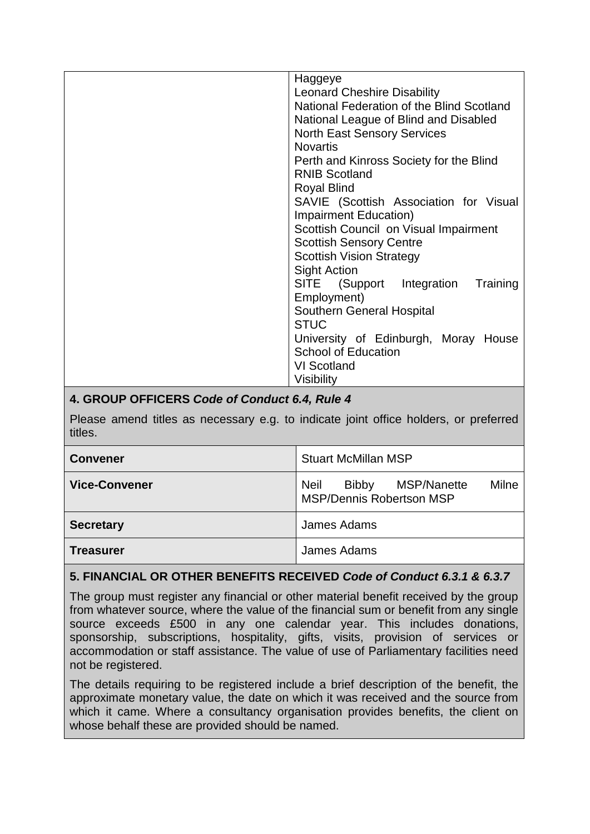| Haggeye                                   |
|-------------------------------------------|
| <b>Leonard Cheshire Disability</b>        |
| National Federation of the Blind Scotland |
| National League of Blind and Disabled     |
| <b>North East Sensory Services</b>        |
| <b>Novartis</b>                           |
| Perth and Kinross Society for the Blind   |
| <b>RNIB Scotland</b>                      |
| <b>Royal Blind</b>                        |
| SAVIE (Scottish Association for Visual    |
| <b>Impairment Education)</b>              |
| Scottish Council on Visual Impairment     |
| <b>Scottish Sensory Centre</b>            |
| <b>Scottish Vision Strategy</b>           |
| <b>Sight Action</b>                       |
| SITE (Support Integration<br>Training     |
| Employment)                               |
| Southern General Hospital                 |
| <b>STUC</b>                               |
| University of Edinburgh, Moray House      |
| <b>School of Education</b>                |
| VI Scotland                               |
| Visibility                                |

# **4. GROUP OFFICERS** *Code of Conduct 6.4, Rule 4*

Please amend titles as necessary e.g. to indicate joint office holders, or preferred titles.

| <b>Convener</b>      | <b>Stuart McMillan MSP</b>                                                             |
|----------------------|----------------------------------------------------------------------------------------|
| <b>Vice-Convener</b> | <b>Neil</b><br>MSP/Nanette<br>Milne<br><b>Bibby</b><br><b>MSP/Dennis Robertson MSP</b> |
| <b>Secretary</b>     | James Adams                                                                            |
| <b>Treasurer</b>     | James Adams                                                                            |

## **5. FINANCIAL OR OTHER BENEFITS RECEIVED** *Code of Conduct 6.3.1 & 6.3.7*

The group must register any financial or other material benefit received by the group from whatever source, where the value of the financial sum or benefit from any single source exceeds £500 in any one calendar year. This includes donations, sponsorship, subscriptions, hospitality, gifts, visits, provision of services or accommodation or staff assistance. The value of use of Parliamentary facilities need not be registered.

The details requiring to be registered include a brief description of the benefit, the approximate monetary value, the date on which it was received and the source from which it came. Where a consultancy organisation provides benefits, the client on whose behalf these are provided should be named.